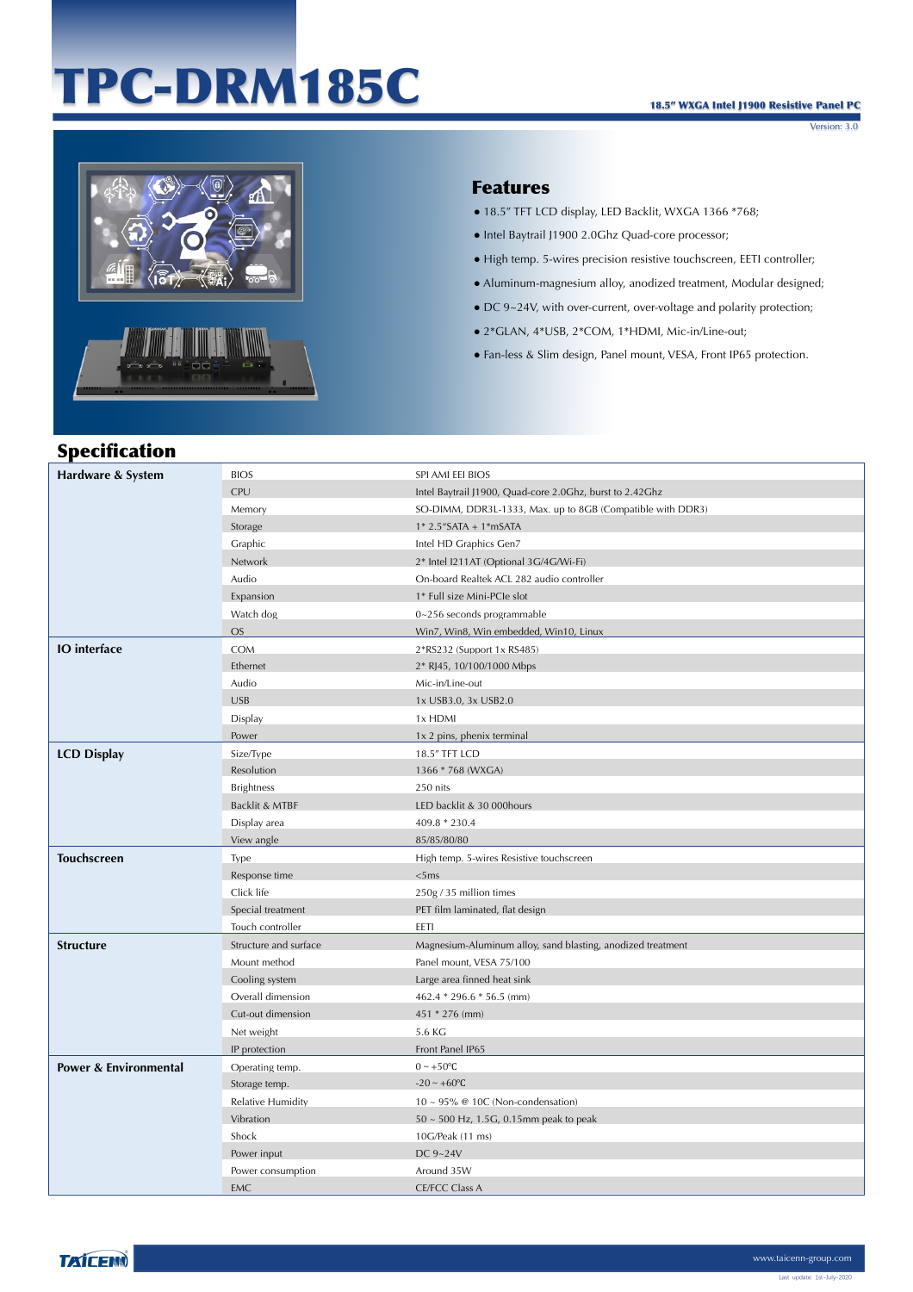# TPC-DRM185C



#### Features

- 18.5" TFT LCD display, LED Backlit, WXGA 1366 \*768;
- Intel Baytrail J1900 2.0Ghz Quad-core processor;
- High temp. 5-wires precision resistive touchscreen, EETI controller;
- Aluminum-magnesium alloy, anodized treatment, Modular designed;
- DC 9~24V, with over-current, over-voltage and polarity protection;
- 2\*GLAN, 4\*USB, 2\*COM, 1\*HDMI, Mic-in/Line-out;
- Fan-less & Slim design, Panel mount, VESA, Front IP65 protection.

## Specification

| Hardware & System                | <b>BIOS</b>              | SPI AMI EEI BIOS                                            |
|----------------------------------|--------------------------|-------------------------------------------------------------|
|                                  | CPU                      | Intel Baytrail J1900, Quad-core 2.0Ghz, burst to 2.42Ghz    |
|                                  | Memory                   | SO-DIMM, DDR3L-1333, Max. up to 8GB (Compatible with DDR3)  |
|                                  | Storage                  | $1*$ 2.5"SATA + 1*mSATA                                     |
|                                  | Graphic                  | Intel HD Graphics Gen7                                      |
|                                  | Network                  | 2* Intel I211AT (Optional 3G/4G/Wi-Fi)                      |
|                                  | Audio                    | On-board Realtek ACL 282 audio controller                   |
|                                  | Expansion                | 1* Full size Mini-PCIe slot                                 |
|                                  | Watch dog                | 0~256 seconds programmable                                  |
|                                  | OS                       | Win7, Win8, Win embedded, Win10, Linux                      |
| <b>IO</b> interface              | COM                      | 2*RS232 (Support 1x RS485)                                  |
|                                  | Ethernet                 | 2* RJ45, 10/100/1000 Mbps                                   |
|                                  | Audio                    | Mic-in/Line-out                                             |
|                                  | <b>USB</b>               | 1x USB3.0, 3x USB2.0                                        |
|                                  | Display                  | 1x HDMI                                                     |
|                                  | Power                    | 1x 2 pins, phenix terminal                                  |
| <b>LCD Display</b>               | Size/Type                | 18.5" TFT LCD                                               |
|                                  | Resolution               | 1366 * 768 (WXGA)                                           |
|                                  | <b>Brightness</b>        | 250 nits                                                    |
|                                  | Backlit & MTBF           | LED backlit & 30 000hours                                   |
|                                  | Display area             | 409.8 * 230.4                                               |
|                                  | View angle               | 85/85/80/80                                                 |
| <b>Touchscreen</b>               | Type                     | High temp. 5-wires Resistive touchscreen                    |
|                                  | Response time            | <5ms                                                        |
|                                  | Click life               | 250g / 35 million times                                     |
|                                  | Special treatment        | PET film laminated, flat design                             |
|                                  | Touch controller         | EETI                                                        |
| <b>Structure</b>                 | Structure and surface    | Magnesium-Aluminum alloy, sand blasting, anodized treatment |
|                                  | Mount method             | Panel mount, VESA 75/100                                    |
|                                  | Cooling system           | Large area finned heat sink                                 |
|                                  | Overall dimension        | $462.4 * 296.6 * 56.5$ (mm)                                 |
|                                  | Cut-out dimension        | 451 * 276 (mm)                                              |
|                                  | Net weight               | 5.6 KG                                                      |
|                                  | IP protection            | Front Panel IP65                                            |
| <b>Power &amp; Environmental</b> | Operating temp.          | $0 \sim +50$ °C                                             |
|                                  | Storage temp.            | $-20 \sim +60$ °C                                           |
|                                  | <b>Relative Humidity</b> | $10 \sim 95\%$ @ 10C (Non-condensation)                     |
|                                  | Vibration                | $50 \sim 500$ Hz, 1.5G, 0.15mm peak to peak                 |
|                                  | Shock                    | 10G/Peak (11 ms)                                            |
|                                  | Power input              | DC 9~24V                                                    |
|                                  |                          |                                                             |
|                                  | Power consumption        | Around 35W                                                  |